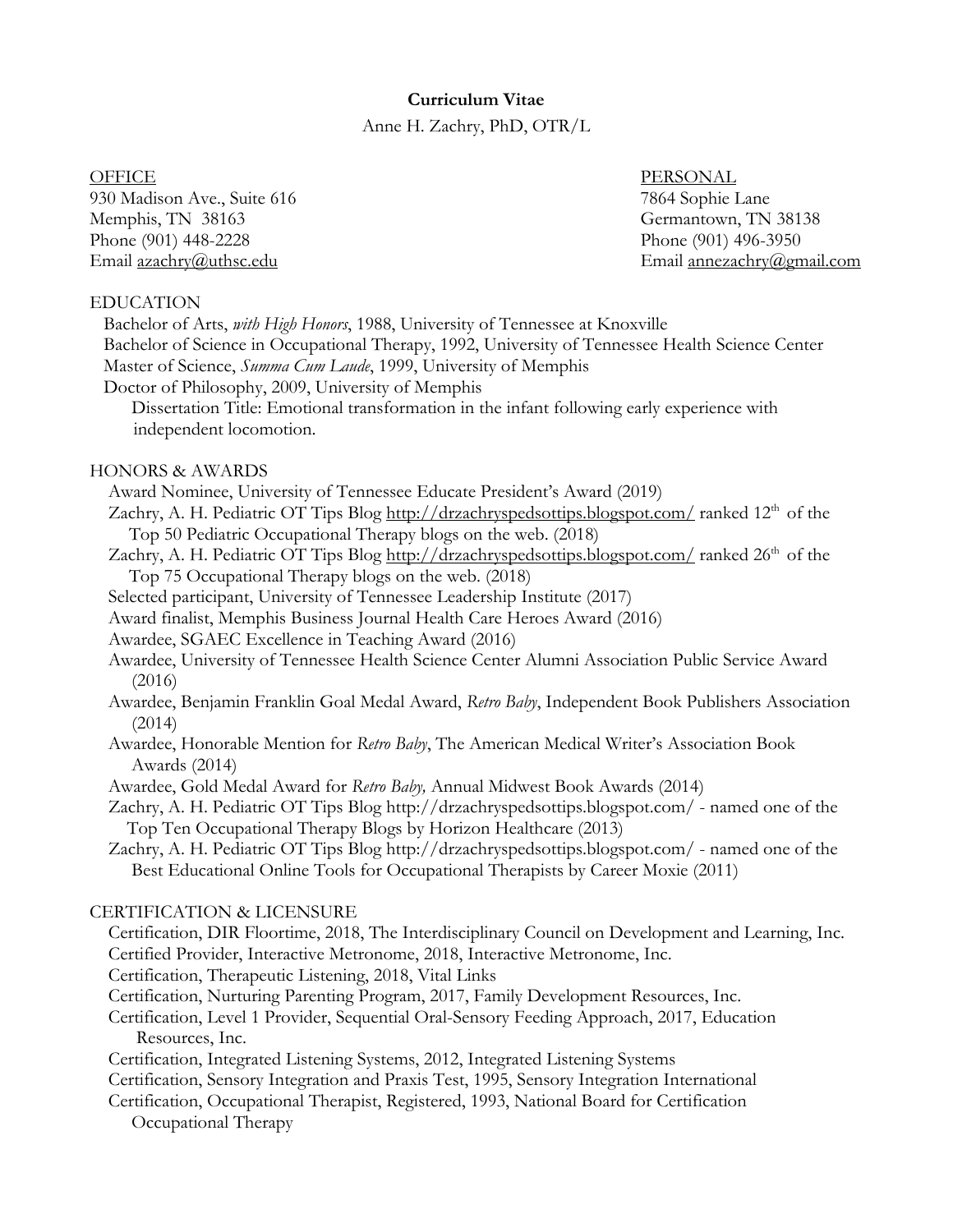### **Curriculum Vitae**

Anne H. Zachry, PhD, OTR/L

930 Madison Ave., Suite 616 7864 Sophie Lane Memphis, TN 38163 Germantown, TN 38138 Phone (901) 448-2228 Phone (901) 496-3950 Email azachry@uthsc.edu Email annezachry@gmail.com

OFFICE PERSONAL

#### EDUCATION

 Bachelor of Arts, *with High Honors*, 1988, University of Tennessee at Knoxville Bachelor of Science in Occupational Therapy, 1992, University of Tennessee Health Science Center Master of Science, *Summa Cum Laude*, 1999, University of Memphis Doctor of Philosophy, 2009, University of Memphis Dissertation Title: Emotional transformation in the infant following early experience with independent locomotion.

#### HONORS & AWARDS

- Award Nominee, University of Tennessee Educate President's Award (2019)
- Zachry, A. H. Pediatric OT Tips Blog http://drzachryspedsottips.blogspot.com/ranked 12<sup>th</sup> of the Top 50 Pediatric Occupational Therapy blogs on the web. (2018)
- Zachry, A. H. Pediatric OT Tips Blog http://drzachryspedsottips.blogspot.com/ ranked 26<sup>th</sup> of the Top 75 Occupational Therapy blogs on the web. (2018)
- Selected participant, University of Tennessee Leadership Institute (2017)
- Award finalist, Memphis Business Journal Health Care Heroes Award (2016)
- Awardee, SGAEC Excellence in Teaching Award (2016)
- Awardee, University of Tennessee Health Science Center Alumni Association Public Service Award (2016)
- Awardee, Benjamin Franklin Goal Medal Award, *Retro Baby*, Independent Book Publishers Association (2014)
- Awardee, Honorable Mention for *Retro Baby*, The American Medical Writer's Association Book Awards (2014)
- Awardee, Gold Medal Award for *Retro Baby,* Annual Midwest Book Awards (2014)
- Zachry, A. H. Pediatric OT Tips Blog http://drzachryspedsottips.blogspot.com/ named one of the Top Ten Occupational Therapy Blogs by Horizon Healthcare (2013)
- Zachry, A. H. Pediatric OT Tips Blog http://drzachryspedsottips.blogspot.com/ named one of the Best Educational Online Tools for Occupational Therapists by Career Moxie (2011)

#### CERTIFICATION & LICENSURE

- Certification, DIR Floortime, 2018, The Interdisciplinary Council on Development and Learning, Inc. Certified Provider, Interactive Metronome, 2018, Interactive Metronome, Inc.
- Certification, Therapeutic Listening, 2018, Vital Links
- Certification, Nurturing Parenting Program, 2017, Family Development Resources, Inc.
- Certification, Level 1 Provider, Sequential Oral-Sensory Feeding Approach, 2017, Education Resources, Inc.
- Certification, Integrated Listening Systems, 2012, Integrated Listening Systems
- Certification, Sensory Integration and Praxis Test, 1995, Sensory Integration International
- Certification, Occupational Therapist, Registered, 1993, National Board for Certification Occupational Therapy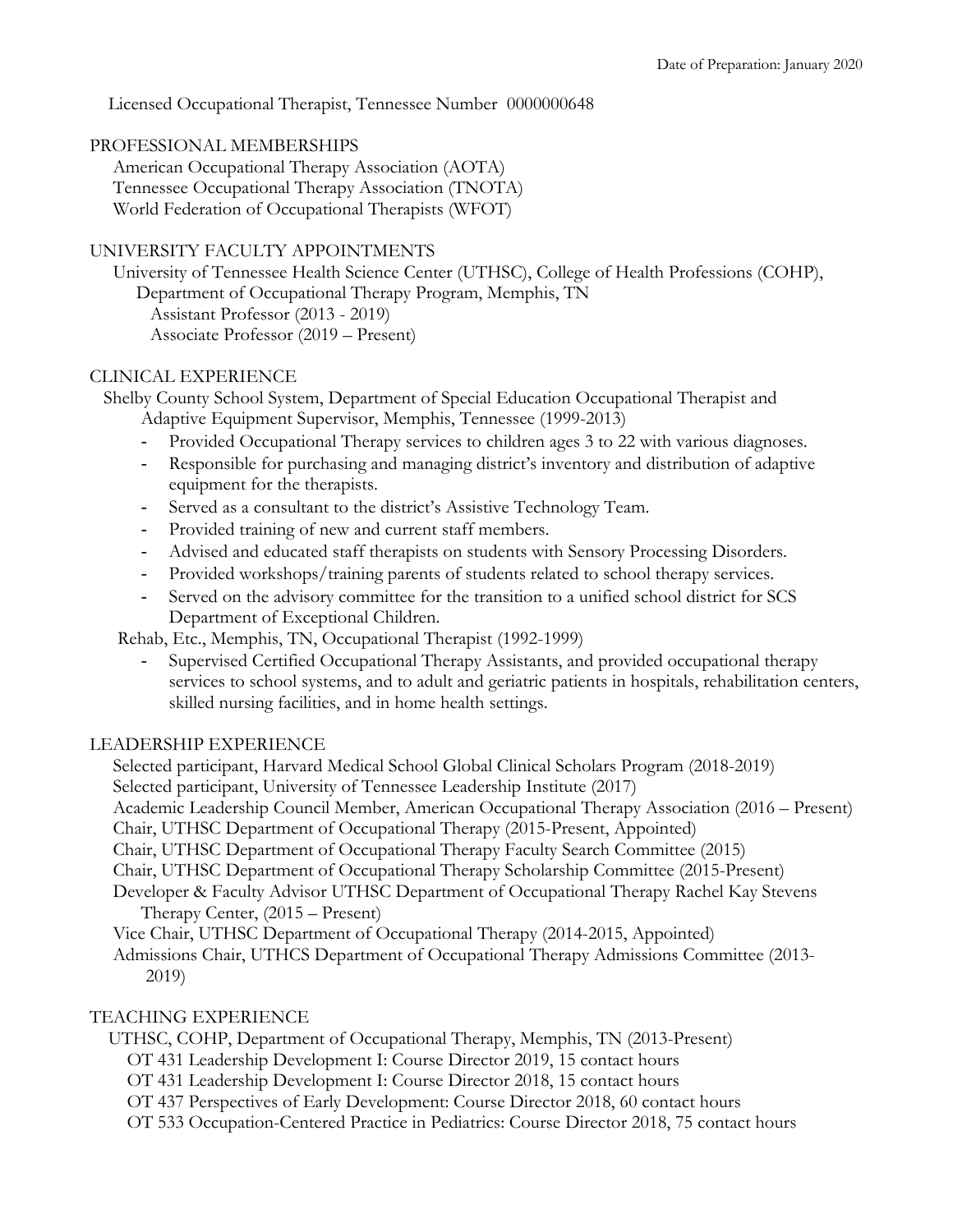Licensed Occupational Therapist, Tennessee Number 0000000648

### PROFESSIONAL MEMBERSHIPS

 American Occupational Therapy Association (AOTA) Tennessee Occupational Therapy Association (TNOTA) World Federation of Occupational Therapists (WFOT)

### UNIVERSITY FACULTY APPOINTMENTS

 University of Tennessee Health Science Center (UTHSC), College of Health Professions (COHP), Department of Occupational Therapy Program, Memphis, TN Assistant Professor (2013 - 2019) Associate Professor (2019 – Present)

### CLINICAL EXPERIENCE

 Shelby County School System, Department of Special Education Occupational Therapist and Adaptive Equipment Supervisor, Memphis, Tennessee (1999-2013)

- Provided Occupational Therapy services to children ages 3 to 22 with various diagnoses.
- Responsible for purchasing and managing district's inventory and distribution of adaptive equipment for the therapists.
- Served as a consultant to the district's Assistive Technology Team.
- Provided training of new and current staff members.
- Advised and educated staff therapists on students with Sensory Processing Disorders.
- Provided workshops/training parents of students related to school therapy services.
- Served on the advisory committee for the transition to a unified school district for SCS Department of Exceptional Children.

Rehab, Etc., Memphis, TN, Occupational Therapist (1992-1999)

- Supervised Certified Occupational Therapy Assistants, and provided occupational therapy services to school systems, and to adult and geriatric patients in hospitals, rehabilitation centers, skilled nursing facilities, and in home health settings.

### LEADERSHIP EXPERIENCE

 Selected participant, Harvard Medical School Global Clinical Scholars Program (2018-2019) Selected participant, University of Tennessee Leadership Institute (2017) Academic Leadership Council Member, American Occupational Therapy Association (2016 – Present) Chair, UTHSC Department of Occupational Therapy (2015-Present, Appointed) Chair, UTHSC Department of Occupational Therapy Faculty Search Committee (2015)

Chair, UTHSC Department of Occupational Therapy Scholarship Committee (2015-Present)

 Developer & Faculty Advisor UTHSC Department of Occupational Therapy Rachel Kay Stevens Therapy Center, (2015 – Present)

Vice Chair, UTHSC Department of Occupational Therapy (2014-2015, Appointed)

 Admissions Chair, UTHCS Department of Occupational Therapy Admissions Committee (2013- 2019)

# TEACHING EXPERIENCE

UTHSC, COHP, Department of Occupational Therapy, Memphis, TN (2013-Present)

- OT 431 Leadership Development I: Course Director 2019, 15 contact hours
- OT 431 Leadership Development I: Course Director 2018, 15 contact hours
- OT 437 Perspectives of Early Development: Course Director 2018, 60 contact hours
- OT 533 Occupation-Centered Practice in Pediatrics: Course Director 2018, 75 contact hours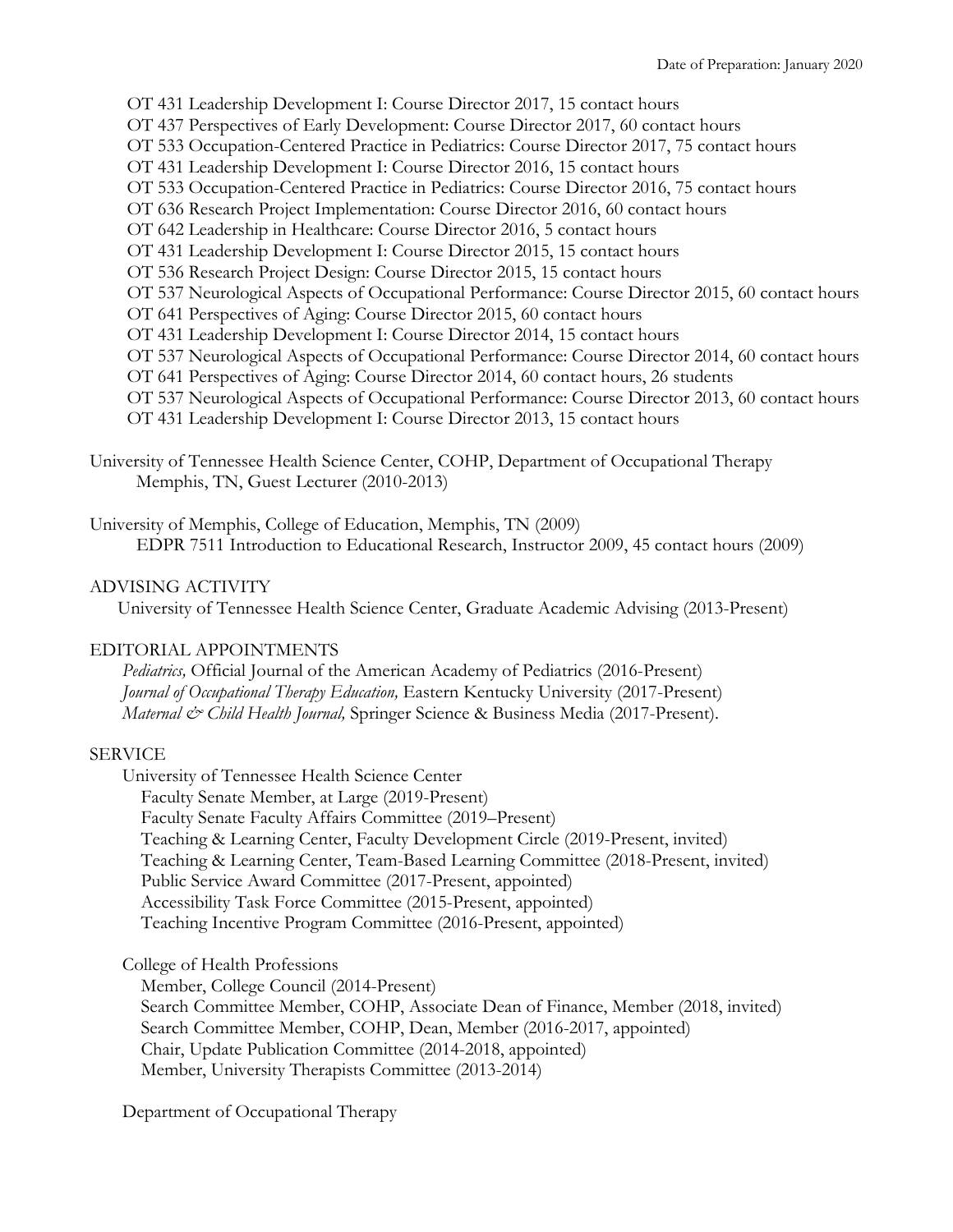OT 431 Leadership Development I: Course Director 2017, 15 contact hours OT 437 Perspectives of Early Development: Course Director 2017, 60 contact hours OT 533 Occupation-Centered Practice in Pediatrics: Course Director 2017, 75 contact hours OT 431 Leadership Development I: Course Director 2016, 15 contact hours OT 533 Occupation-Centered Practice in Pediatrics: Course Director 2016, 75 contact hours OT 636 Research Project Implementation: Course Director 2016, 60 contact hours OT 642 Leadership in Healthcare: Course Director 2016, 5 contact hours OT 431 Leadership Development I: Course Director 2015, 15 contact hours OT 536 Research Project Design: Course Director 2015, 15 contact hours OT 537 Neurological Aspects of Occupational Performance: Course Director 2015, 60 contact hours OT 641 Perspectives of Aging: Course Director 2015, 60 contact hours OT 431 Leadership Development I: Course Director 2014, 15 contact hours OT 537 Neurological Aspects of Occupational Performance: Course Director 2014, 60 contact hours OT 641 Perspectives of Aging: Course Director 2014, 60 contact hours, 26 students OT 537 Neurological Aspects of Occupational Performance: Course Director 2013, 60 contact hours OT 431 Leadership Development I: Course Director 2013, 15 contact hours

University of Tennessee Health Science Center, COHP, Department of Occupational Therapy Memphis, TN, Guest Lecturer (2010-2013)

University of Memphis, College of Education, Memphis, TN (2009) EDPR 7511 Introduction to Educational Research, Instructor 2009, 45 contact hours (2009)

# ADVISING ACTIVITY

University of Tennessee Health Science Center, Graduate Academic Advising (2013-Present)

### EDITORIAL APPOINTMENTS

 *Pediatrics,* Official Journal of the American Academy of Pediatrics (2016-Present)  *Journal of Occupational Therapy Education,* Eastern Kentucky University (2017-Present)  *Maternal & Child Health Journal,* Springer Science & Business Media (2017-Present).

### SERVICE

 University of Tennessee Health Science Center Faculty Senate Member, at Large (2019-Present) Faculty Senate Faculty Affairs Committee (2019–Present) Teaching & Learning Center, Faculty Development Circle (2019-Present, invited) Teaching & Learning Center, Team-Based Learning Committee (2018-Present, invited) Public Service Award Committee (2017-Present, appointed) Accessibility Task Force Committee (2015-Present, appointed) Teaching Incentive Program Committee (2016-Present, appointed)

College of Health Professions

Member, College Council (2014-Present)

 Search Committee Member, COHP, Associate Dean of Finance, Member (2018, invited) Search Committee Member, COHP, Dean, Member (2016-2017, appointed) Chair, Update Publication Committee (2014-2018, appointed) Member, University Therapists Committee (2013-2014)

Department of Occupational Therapy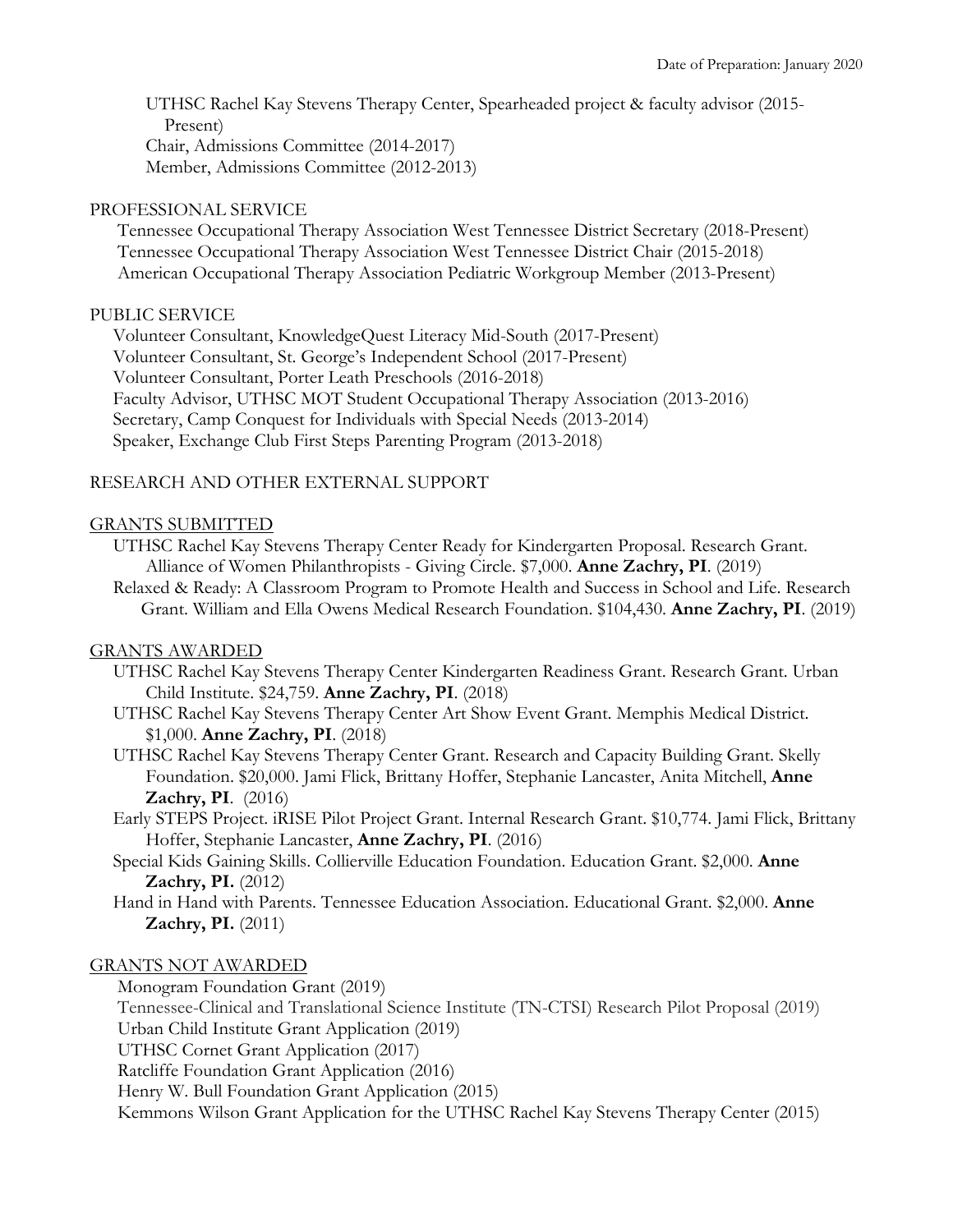UTHSC Rachel Kay Stevens Therapy Center, Spearheaded project & faculty advisor (2015- Present) Chair, Admissions Committee (2014-2017) Member, Admissions Committee (2012-2013)

## PROFESSIONAL SERVICE

 Tennessee Occupational Therapy Association West Tennessee District Secretary (2018-Present) Tennessee Occupational Therapy Association West Tennessee District Chair (2015-2018) American Occupational Therapy Association Pediatric Workgroup Member (2013-Present)

## PUBLIC SERVICE

 Volunteer Consultant, KnowledgeQuest Literacy Mid-South (2017-Present) Volunteer Consultant, St. George's Independent School (2017-Present) Volunteer Consultant, Porter Leath Preschools (2016-2018) Faculty Advisor, UTHSC MOT Student Occupational Therapy Association (2013-2016) Secretary, Camp Conquest for Individuals with Special Needs (2013-2014) Speaker, Exchange Club First Steps Parenting Program (2013-2018)

# RESEARCH AND OTHER EXTERNAL SUPPORT

## GRANTS SUBMITTED

 UTHSC Rachel Kay Stevens Therapy Center Ready for Kindergarten Proposal. Research Grant. Alliance of Women Philanthropists - Giving Circle. \$7,000. **Anne Zachry, PI**. (2019)

 Relaxed & Ready: A Classroom Program to Promote Health and Success in School and Life. Research Grant. William and Ella Owens Medical Research Foundation. \$104,430. **Anne Zachry, PI**. (2019)

### GRANTS AWARDED

- UTHSC Rachel Kay Stevens Therapy Center Kindergarten Readiness Grant. Research Grant. Urban Child Institute. \$24,759. **Anne Zachry, PI**. (2018)
- UTHSC Rachel Kay Stevens Therapy Center Art Show Event Grant. Memphis Medical District. \$1,000. **Anne Zachry, PI**. (2018)

 UTHSC Rachel Kay Stevens Therapy Center Grant. Research and Capacity Building Grant. Skelly Foundation. \$20,000. Jami Flick, Brittany Hoffer, Stephanie Lancaster, Anita Mitchell, **Anne Zachry, PI**. (2016)

- Early STEPS Project. iRISE Pilot Project Grant. Internal Research Grant. \$10,774. Jami Flick, Brittany Hoffer, Stephanie Lancaster, **Anne Zachry, PI**. (2016)
- Special Kids Gaining Skills. Collierville Education Foundation. Education Grant. \$2,000. **Anne Zachry, PI.** (2012)
- Hand in Hand with Parents. Tennessee Education Association. Educational Grant. \$2,000. **Anne Zachry, PI.** (2011)

### GRANTS NOT AWARDED

Monogram Foundation Grant (2019)

 Tennessee-Clinical and Translational Science Institute (TN-CTSI) Research Pilot Proposal (2019) Urban Child Institute Grant Application (2019)

UTHSC Cornet Grant Application (2017)

Ratcliffe Foundation Grant Application (2016)

Henry W. Bull Foundation Grant Application (2015)

Kemmons Wilson Grant Application for the UTHSC Rachel Kay Stevens Therapy Center (2015)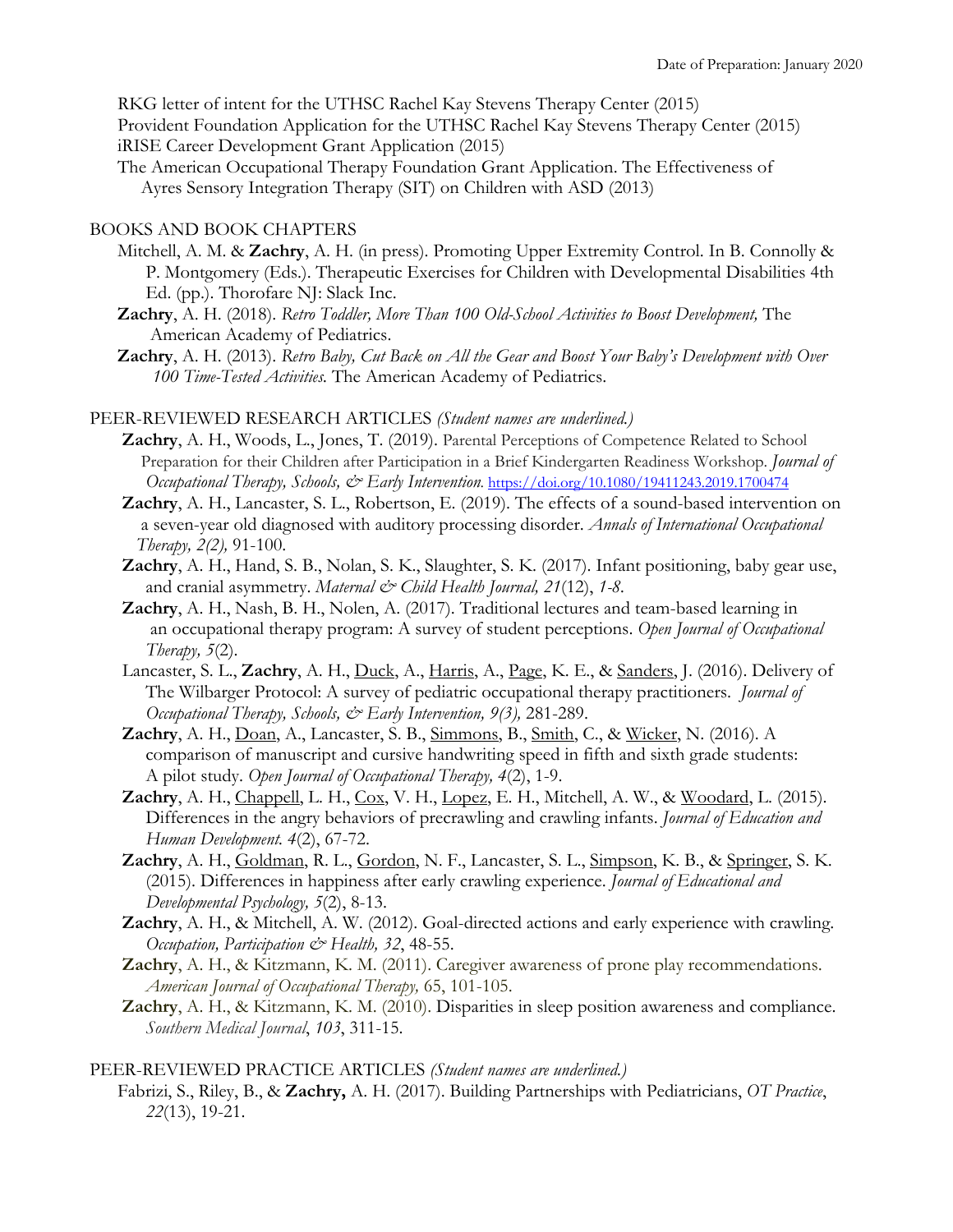RKG letter of intent for the UTHSC Rachel Kay Stevens Therapy Center (2015)

 Provident Foundation Application for the UTHSC Rachel Kay Stevens Therapy Center (2015) iRISE Career Development Grant Application (2015)

 The American Occupational Therapy Foundation Grant Application. The Effectiveness of Ayres Sensory Integration Therapy (SIT) on Children with ASD (2013)

### BOOKS AND BOOK CHAPTERS

- Mitchell, A. M. & **Zachry**, A. H. (in press). Promoting Upper Extremity Control. In B. Connolly & P. Montgomery (Eds.). Therapeutic Exercises for Children with Developmental Disabilities 4th Ed. (pp.). Thorofare NJ: Slack Inc.
- **Zachry**, A. H. (2018). *Retro Toddler, More Than 100 Old-School Activities to Boost Development,* The American Academy of Pediatrics.
- **Zachry**, A. H. (2013). *Retro Baby, Cut Back on All the Gear and Boost Your Baby's Development with Over 100 Time-Tested Activities.* The American Academy of Pediatrics.

#### PEER-REVIEWED RESEARCH ARTICLES *(Student names are underlined.)*

- **Zachry**, A. H., Woods, L., Jones, T. (2019). Parental Perceptions of Competence Related to School Preparation for their Children after Participation in a Brief Kindergarten Readiness Workshop. *Journal of Occupational Therapy, Schools, & Early Intervention.* https://doi.org/10.1080/19411243.2019.1700474
- **Zachry**, A. H., Lancaster, S. L., Robertson, E. (2019). The effects of a sound-based intervention on a seven-year old diagnosed with auditory processing disorder. *Annals of International Occupational Therapy, 2(2),* 91-100.
- **Zachry**, A. H., Hand, S. B., Nolan, S. K., Slaughter, S. K. (2017). Infant positioning, baby gear use, and cranial asymmetry. *Maternal & Child Health Journal*, 21(12), 1-8.
- **Zachry**, A. H., Nash, B. H., Nolen, A. (2017). Traditional lectures and team-based learning in an occupational therapy program: A survey of student perceptions. *Open Journal of Occupational Therapy, 5*(2).
- Lancaster, S. L., **Zachry**, A. H., Duck, A., Harris, A., Page, K. E., & Sanders, J. (2016). Delivery of The Wilbarger Protocol: A survey of pediatric occupational therapy practitioners. *Journal of Occupational Therapy, Schools, & Early Intervention, 9(3),* 281-289.
- **Zachry**, A. H., Doan, A., Lancaster, S. B., Simmons, B., Smith, C., & Wicker, N. (2016). A comparison of manuscript and cursive handwriting speed in fifth and sixth grade students: A pilot study. *Open Journal of Occupational Therapy, 4*(2), 1-9.
- Zachry, A. H., Chappell, L. H., Cox, V. H., Lopez, E. H., Mitchell, A. W., & Woodard, L. (2015). Differences in the angry behaviors of precrawling and crawling infants. *Journal of Education and Human Development. 4*(2), 67-72.
- **Zachry**, A. H., Goldman, R. L., Gordon, N. F., Lancaster, S. L., Simpson, K. B., & Springer, S. K. (2015). Differences in happiness after early crawling experience. *Journal of Educational and Developmental Psychology, 5*(2), 8-13.
- **Zachry**, A. H., & Mitchell, A. W. (2012). Goal-directed actions and early experience with crawling. *Occupation, Participation & Health, 32*, 48-55.
- **Zachry**, A. H., & Kitzmann, K. M. (2011). Caregiver awareness of prone play recommendations. *American Journal of Occupational Therapy,* 65, 101-105.
- **Zachry**, A. H., & Kitzmann, K. M. (2010). Disparities in sleep position awareness and compliance. *Southern Medical Journal*, *103*, 311-15.

#### PEER-REVIEWED PRACTICE ARTICLES *(Student names are underlined.)*

 Fabrizi, S., Riley, B., & **Zachry,** A. H. (2017). Building Partnerships with Pediatricians, *OT Practice*, *22*(13), 19-21.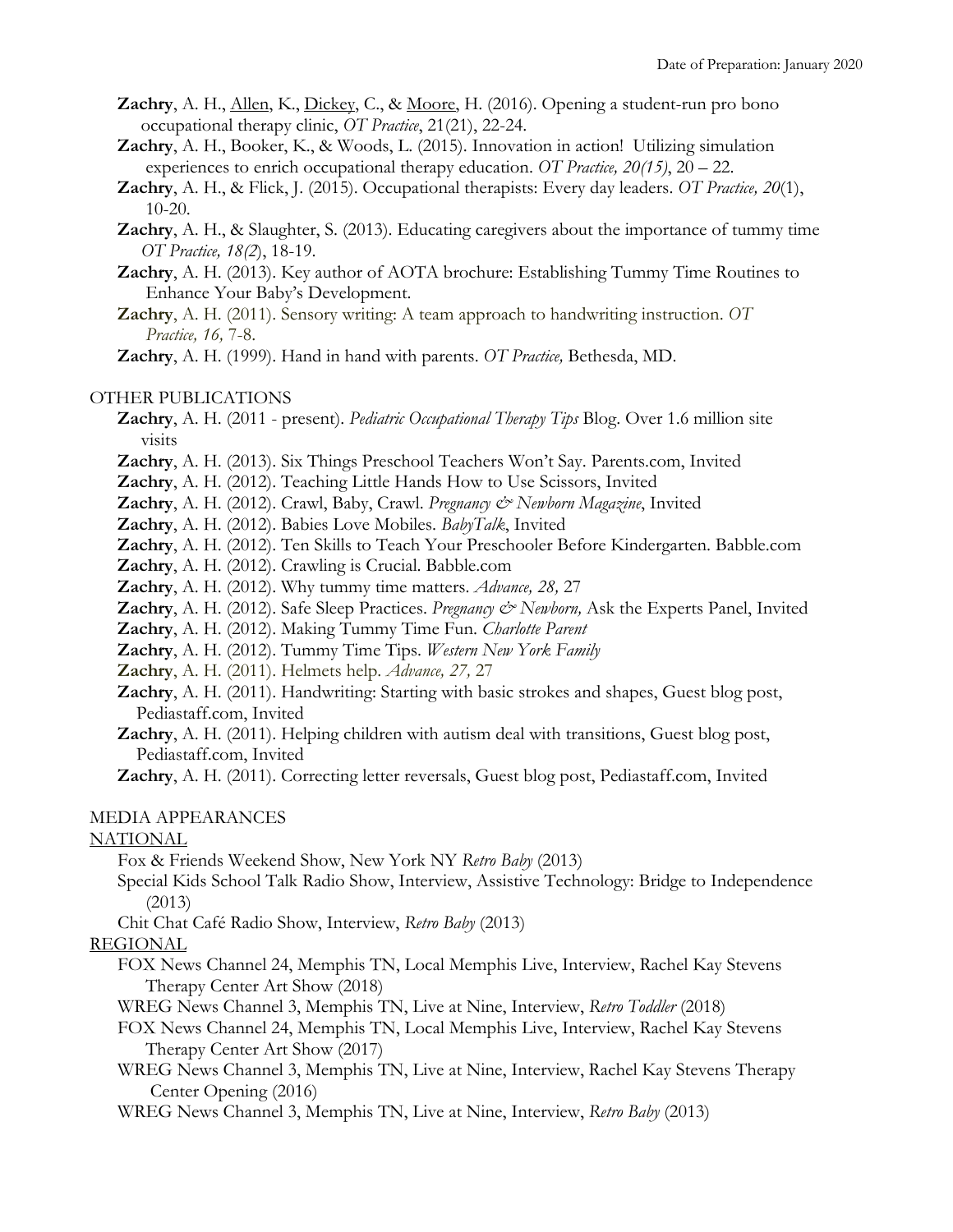- **Zachry**, A. H., Allen, K., Dickey, C., & Moore, H. (2016). Opening a student-run pro bono occupational therapy clinic, *OT Practice*, 21(21), 22-24.
- **Zachry**, A. H., Booker, K., & Woods, L. (2015). Innovation in action! Utilizing simulation experiences to enrich occupational therapy education. *OT Practice, 20(15)*, 20 – 22.
- **Zachry**, A. H., & Flick, J. (2015). Occupational therapists: Every day leaders. *OT Practice, 20*(1), 10-20.
- **Zachry**, A. H., & Slaughter, S. (2013). Educating caregivers about the importance of tummy time *OT Practice, 18(2*), 18-19.
- **Zachry**, A. H. (2013). Key author of AOTA brochure: Establishing Tummy Time Routines to Enhance Your Baby's Development.
- **Zachry**, A. H. (2011). Sensory writing: A team approach to handwriting instruction. *OT Practice, 16,* 7-8.

 **Zachry**, A. H. (1999). Hand in hand with parents. *OT Practice,* Bethesda, MD.

### OTHER PUBLICATIONS

 **Zachry**, A. H. (2011 - present). *Pediatric Occupational Therapy Tips* Blog. Over 1.6 million site visits

- **Zachry**, A. H. (2013). Six Things Preschool Teachers Won't Say. Parents.com, Invited
- **Zachry**, A. H. (2012). Teaching Little Hands How to Use Scissors, Invited
- **Zachry**, A. H. (2012). Crawl, Baby, Crawl. *Pregnancy & Newborn Magazine*, Invited
- **Zachry**, A. H. (2012). Babies Love Mobiles. *BabyTalk*, Invited
- **Zachry**, A. H. (2012). Ten Skills to Teach Your Preschooler Before Kindergarten. Babble.com
- **Zachry**, A. H. (2012). Crawling is Crucial. Babble.com
- **Zachry**, A. H. (2012). Why tummy time matters. *Advance, 28,* 27
- Zachry, A. H. (2012). Safe Sleep Practices. *Pregnancy & Newborn*, Ask the Experts Panel, Invited
- **Zachry**, A. H. (2012). Making Tummy Time Fun. *Charlotte Parent*
- **Zachry**, A. H. (2012). Tummy Time Tips. *Western New York Family*
- **Zachry**, A. H. (2011). Helmets help. *Advance, 27,* 27
- **Zachry**, A. H. (2011). Handwriting: Starting with basic strokes and shapes, Guest blog post, Pediastaff.com, Invited
- **Zachry**, A. H. (2011). Helping children with autism deal with transitions, Guest blog post, Pediastaff.com, Invited

 **Zachry**, A. H. (2011). Correcting letter reversals, Guest blog post, Pediastaff.com, Invited

### MEDIA APPEARANCES

### NATIONAL

Fox & Friends Weekend Show, New York NY *Retro Baby* (2013)

- Special Kids School Talk Radio Show, Interview, Assistive Technology: Bridge to Independence (2013)
- Chit Chat Café Radio Show, Interview, *Retro Baby* (2013)

### REGIONAL

- FOX News Channel 24, Memphis TN, Local Memphis Live, Interview, Rachel Kay Stevens Therapy Center Art Show (2018)
- WREG News Channel 3, Memphis TN, Live at Nine, Interview, *Retro Toddler* (2018)
- FOX News Channel 24, Memphis TN, Local Memphis Live, Interview, Rachel Kay Stevens Therapy Center Art Show (2017)
- WREG News Channel 3, Memphis TN, Live at Nine, Interview, Rachel Kay Stevens Therapy Center Opening (2016)
- WREG News Channel 3, Memphis TN, Live at Nine, Interview, *Retro Baby* (2013)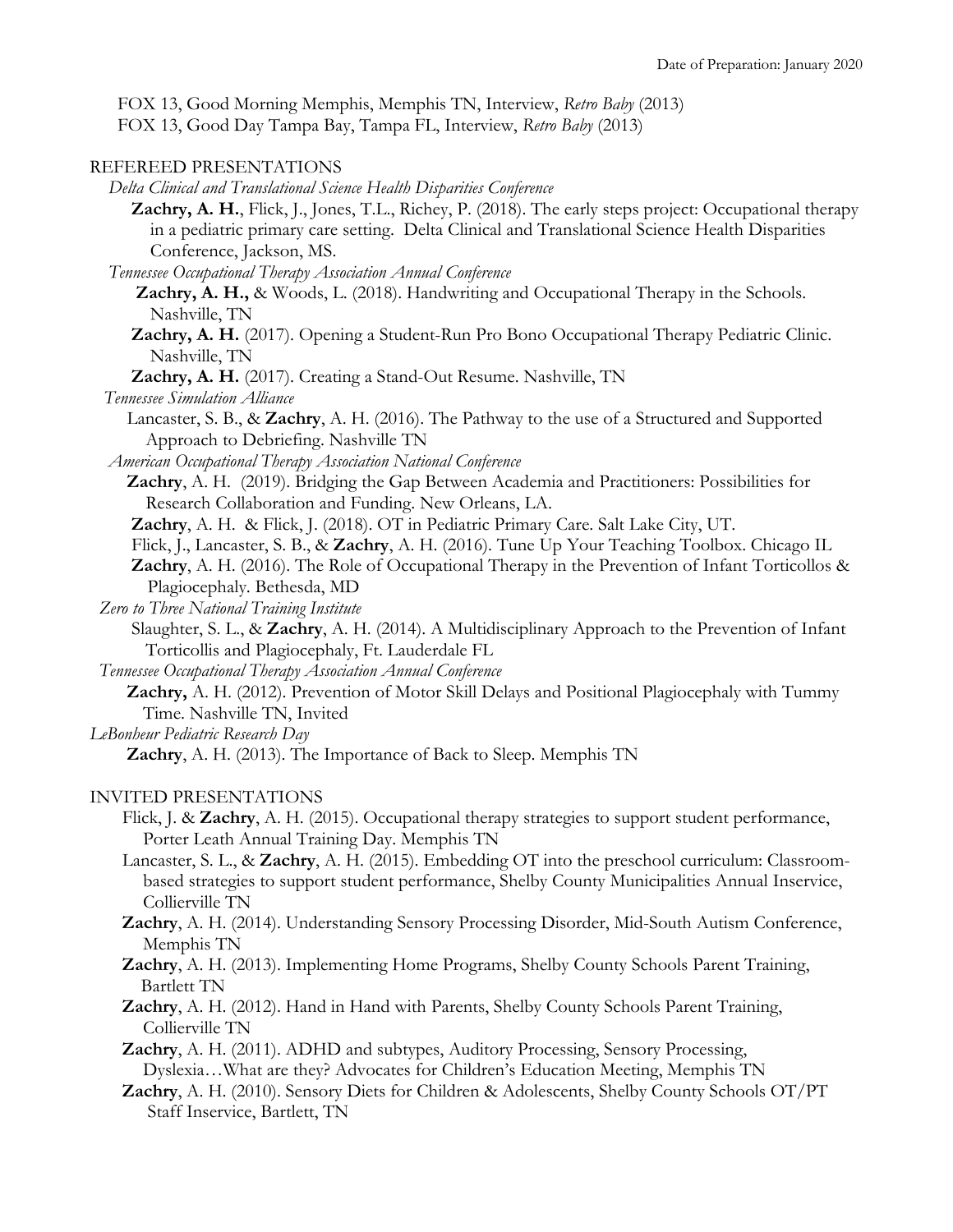FOX 13, Good Morning Memphis, Memphis TN, Interview, *Retro Baby* (2013)

FOX 13, Good Day Tampa Bay, Tampa FL, Interview, *Retro Baby* (2013)

# REFEREED PRESENTATIONS

 *Delta Clinical and Translational Science Health Disparities Conference*

**Zachry, A. H.**, Flick, J., Jones, T.L., Richey, P. (2018). The early steps project: Occupational therapy in a pediatric primary care setting. Delta Clinical and Translational Science Health Disparities Conference, Jackson, MS.

 *Tennessee Occupational Therapy Association Annual Conference*

 **Zachry, A. H.,** & Woods, L. (2018). Handwriting and Occupational Therapy in the Schools. Nashville, TN

 **Zachry, A. H.** (2017). Opening a Student-Run Pro Bono Occupational Therapy Pediatric Clinic. Nashville, TN

**Zachry, A. H.** (2017). Creating a Stand-Out Resume. Nashville, TN

 *Tennessee Simulation Alliance*

Lancaster, S. B., & Zachry, A. H. (2016). The Pathway to the use of a Structured and Supported Approach to Debriefing. Nashville TN

 *American Occupational Therapy Association National Conference*

Zachry, A. H. (2019). Bridging the Gap Between Academia and Practitioners: Possibilities for Research Collaboration and Funding. New Orleans, LA.

**Zachry**, A. H. & Flick, J. (2018). OT in Pediatric Primary Care. Salt Lake City, UT.

Flick, J., Lancaster, S. B., & **Zachry**, A. H. (2016). Tune Up Your Teaching Toolbox. Chicago IL

- **Zachry**, A. H. (2016). The Role of Occupational Therapy in the Prevention of Infant Torticollos & Plagiocephaly. Bethesda, MD
- *Zero to Three National Training Institute*

Slaughter, S. L., & **Zachry**, A. H. (2014). A Multidisciplinary Approach to the Prevention of Infant Torticollis and Plagiocephaly, Ft. Lauderdale FL

 *Tennessee Occupational Therapy Association Annual Conference*

 **Zachry,** A. H. (2012). Prevention of Motor Skill Delays and Positional Plagiocephaly with Tummy Time. Nashville TN, Invited

*LeBonheur Pediatric Research Day*

 **Zachry**, A. H. (2013). The Importance of Back to Sleep. Memphis TN

# INVITED PRESENTATIONS

- Flick, J. & **Zachry**, A. H. (2015). Occupational therapy strategies to support student performance, Porter Leath Annual Training Day. Memphis TN
- Lancaster, S. L., & **Zachry**, A. H. (2015). Embedding OT into the preschool curriculum: Classroom based strategies to support student performance, Shelby County Municipalities Annual Inservice, Collierville TN
- **Zachry**, A. H. (2014). Understanding Sensory Processing Disorder, Mid-South Autism Conference, Memphis TN
- **Zachry**, A. H. (2013). Implementing Home Programs, Shelby County Schools Parent Training, Bartlett TN
- **Zachry**, A. H. (2012). Hand in Hand with Parents, Shelby County Schools Parent Training, Collierville TN

 **Zachry**, A. H. (2011). ADHD and subtypes, Auditory Processing, Sensory Processing, Dyslexia…What are they? Advocates for Children's Education Meeting, Memphis TN

 **Zachry**, A. H. (2010). Sensory Diets for Children & Adolescents, Shelby County Schools OT/PT Staff Inservice, Bartlett, TN